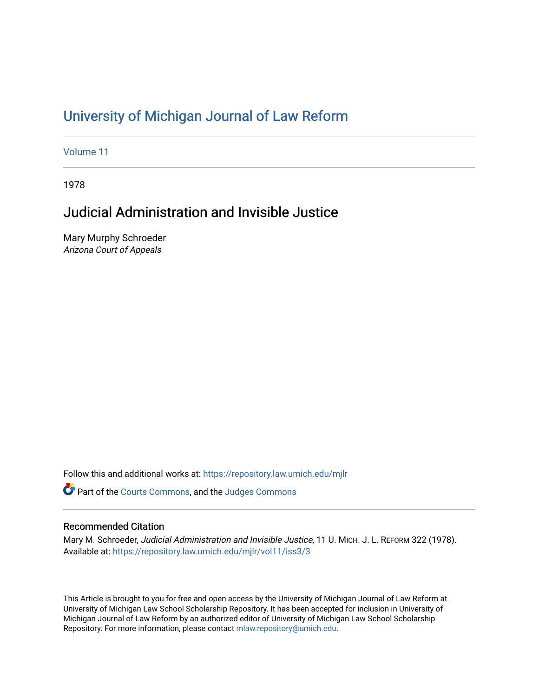# [University of Michigan Journal of Law Reform](https://repository.law.umich.edu/mjlr)

[Volume 11](https://repository.law.umich.edu/mjlr/vol11)

1978

# Judicial Administration and Invisible Justice

Mary Murphy Schroeder Arizona Court of Appeals

Follow this and additional works at: [https://repository.law.umich.edu/mjlr](https://repository.law.umich.edu/mjlr?utm_source=repository.law.umich.edu%2Fmjlr%2Fvol11%2Fiss3%2F3&utm_medium=PDF&utm_campaign=PDFCoverPages) 

**P** Part of the [Courts Commons,](http://network.bepress.com/hgg/discipline/839?utm_source=repository.law.umich.edu%2Fmjlr%2Fvol11%2Fiss3%2F3&utm_medium=PDF&utm_campaign=PDFCoverPages) and the Judges Commons

## Recommended Citation

Mary M. Schroeder, Judicial Administration and Invisible Justice, 11 U. MICH. J. L. REFORM 322 (1978). Available at: [https://repository.law.umich.edu/mjlr/vol11/iss3/3](https://repository.law.umich.edu/mjlr/vol11/iss3/3?utm_source=repository.law.umich.edu%2Fmjlr%2Fvol11%2Fiss3%2F3&utm_medium=PDF&utm_campaign=PDFCoverPages) 

This Article is brought to you for free and open access by the University of Michigan Journal of Law Reform at University of Michigan Law School Scholarship Repository. It has been accepted for inclusion in University of Michigan Journal of Law Reform by an authorized editor of University of Michigan Law School Scholarship Repository. For more information, please contact [mlaw.repository@umich.edu](mailto:mlaw.repository@umich.edu).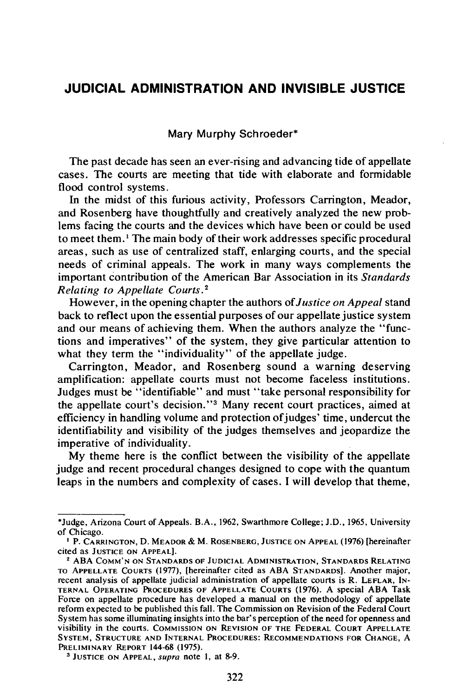## **JUDICIAL ADMINISTRATION AND INVISIBLE JUSTICE**

Mary Murphy Schroeder\*

The past decade has seen an ever-rising and advancing tide of appellate cases. The courts are meeting that tide with elaborate and formidable flood control systems.

In the midst of this furious activity, Professors Carrington, Meador, and Rosenberg have thoughtfully and creatively analyzed the new problems facing the courts and the devices which have been or could be used to meet them.' The main body of their work addresses specific procedural areas, such as use of centralized staff, enlarging courts, and the special needs of criminal appeals. The work in many ways complements the important contribution of the American Bar Association in its *Standards Relating to Appellate Courts.* <sup>2</sup>

However, in the opening chapter the authors of *Justice on Appeal* stand back to reflect upon the essential purposes of our appellate justice system and our means of achieving them. When the authors analyze the "functions and imperatives" of the system, they give particular attention to what they term the "individuality" of the appellate judge.

Carrington, Meador, and Rosenberg sound a warning deserving amplification: appellate courts must not become faceless institutions. Judges must be "identifiable" and must "take personal responsibility for the appellate court's decision."<sup>3</sup> Many recent court practices, aimed at efficiency in handling volume and protection of judges' time, undercut the identifiability and visibility of the judges themselves and jeopardize the imperative of individuality.

My theme here is the conflict between the visibility of the appellate judge and recent procedural changes designed to cope with the quantum leaps in the numbers and complexity of cases. I will develop that theme,

<sup>\*</sup>Judge, Arizona Court of Appeals. B.A., 1962, Swarthmore College; J.D., 1965, University of Chicago.

<sup>&</sup>lt;sup>1</sup> P. CARRINGTON, D. MEADOR & M. ROSENBERG, JUSTICE ON APPEAL (1976) [hereinafter cited as JUSTICE ON APPEAL]. 2 ABA COMM'N ON STANDARDS OF JUDICIAL ADMINISTRATION, STANDARDS RELATING

TO APPELLATE COURTS (1977), [hereinafter cited as ABA STANDARDS]. Another major, recent analysis of appellate judicial administration of appellate courts is R. LEFLAR, IN-TERNAL OPERATING PROCEDURES OF APPELLATE COURTS (1976). A special ABA Task Force on appellate procedure has developed a manual on the methodology of appellate reform expected to be published this fall. The Commission on Revision of the Federal Court System has some illuminating insights into the bar's perception of the need for openness and visibility in the courts. COMMISSION ON REVISION OF THE FEDERAL COURT APPELLATE SYSTEM, STRUCTURE AND INTERNAL PROCEDURES: RECOMMENDATIONS FOR CHANGE, A PRELIMINARY REPORT 144-68 (1975).

<sup>&</sup>lt;sup>3</sup> JUSTICE ON APPEAL, supra note 1, at 8-9.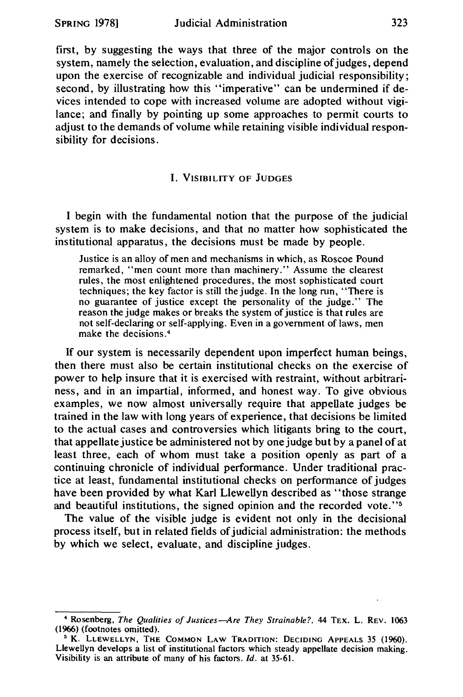first, by suggesting the ways that three of the major controls on the system, namely the selection, evaluation, and discipline of judges, depend upon the exercise of recognizable and individual judicial responsibility; second, by illustrating how this "imperative" can be undermined if devices intended to cope with increased volume are adopted without vigilance; and finally by pointing up some approaches to permit courts to adjust to the demands of volume while retaining visible individual responsibility for decisions.

### I. VISIBILITY OF JUDGES

I begin with the fundamental notion that the purpose of the judicial system is to make decisions, and that no matter how sophisticated the institutional apparatus, the decisions must be made by people.

Justice is an alloy of men and mechanisms in which, as Roscoe Pound remarked, "men count more than machinery." Assume the clearest rules, the most enlightened procedures, the most sophisticated court techniques; the key factor is still the judge. In the long run, "There is no guarantee of justice except the personality of the judge." The reason the judge makes or breaks the system of justice is that rules are not self-declaring or self-applying. Even in a government of laws, men make the decisions. <sup>4</sup>

If our system is necessarily dependent upon imperfect human beings, then there must also be certain institutional checks on the exercise of power to help insure that it is exercised with restraint, without arbitrariness, and in an impartial, informed, and honest way. To give obvious examples, we now almost universally require that appellate judges be trained in the law with long years of experience, that decisions be limited to the actual cases and controversies which litigants bring to the court, that appellate justice be administered not by one judge but by a panel of at least three, each of whom must take a position openly as part of a continuing chronicle of individual performance. Under traditional practice at least, fundamental institutional checks on performance of judges have been provided by what Karl Llewellyn described as ''those strange and beautiful institutions, the signed opinion and the recorded vote."<sup>5</sup>

The value of the visible judge is evident not only in the decisional process itself, but in related fields of judicial administration: the methods by which we select, evaluate, and discipline judges.

<sup>•</sup> Rosenberg, *The Qualities of Justices-Are They Strainab/e?,* 44 TEX. L. REV. 1063 (1966) (footnotes omitted).

<sup>•</sup> K. LLEWELLYN, THE COMMON LAW TRADITION: DECIDING APPEALS 35 (1960). Llewellyn develops a list of institutional factors which steady appellate decision making. Visibility is an attribute of many of his factors. *Id.* at 35-61.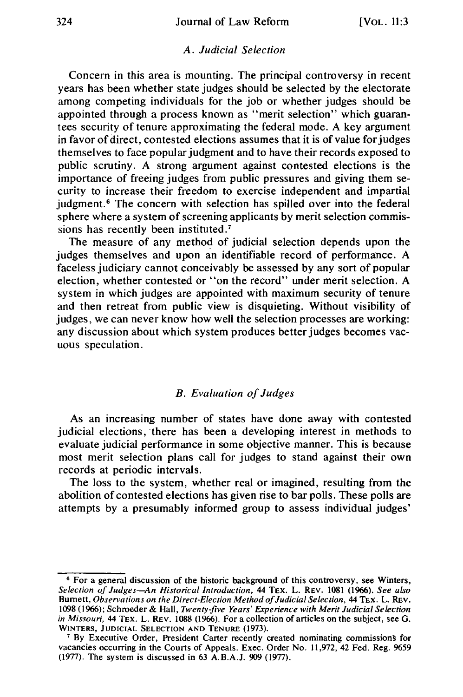#### *A. Judicial Selection*

Concern in this area is mounting. The principal controversy in recent years has been whether state judges should be selected by the electorate among competing individuals for the job or whether judges should be appointed through a process known as "merit selection" which guarantees security of tenure approximating the federal mode. A key argument in favor of direct, contested elections assumes that it is of value for judges themselves to face popular judgment and to have their records exposed to public scrutiny. A strong argument against contested elections is the importance of freeing judges from public pressures and giving them security to increase their freedom to exercise independent and impartial judgment.<sup>6</sup> The concern with selection has spilled over into the federal sphere where a system of screening applicants by merit selection commissions has recently been instituted.<sup>7</sup>

The measure of any method of judicial selection depends upon the judges themselves and upon an identifiable record of performance. A faceless judiciary cannot conceivably be assessed by any sort of popular election, whether contested or "on the record" under merit selection. A system in which judges are appointed with maximum security of tenure and then retreat from public view is disquieting. Without visibility of judges, we can never know how well the selection processes are working: any discussion about which system produces better judges becomes vacuous speculation.

### *B. Evaluation of Judges*

As an increasing number of states have done away with contested judicial elections, there has been a developing interest in methods to evaluate judicial performance in some objective manner. This is because most merit selection plans call for judges to stand against their own records at periodic intervals.

The loss to the system, whether real or imagined, resulting from the abolition of contested elections has given rise to bar polls. These polls are attempts by a presumably informed group to assess individual judges'

<sup>6</sup> For a general discussion of the historic background of this controversy, see Winters, *Selection of Judges-An Historical Introduction,* 44 TEX. L. REV. 1081 (1966). *See also*  Burnett, Observations on the Direct-Election Method of Judicial Selection, 44 TEX. L. REV. 1098 (1966); Schroeder & Hall, *Twenty-five Years' Experience with Merit Judicial Selection in Missouri,* 44 TEX. L. REv. 1088 (1966). For a collection of articles on the subject, see G.

<sup>&</sup>lt;sup>7</sup> By Executive Order, President Carter recently created nominating commissions for vacancies occurring in the Courts of Appeals. Exec. Order No. 11,972, 42 Fed. Reg. *%59*  (1977). The system is discussed in 63 A.B.A.J. 909 (1977).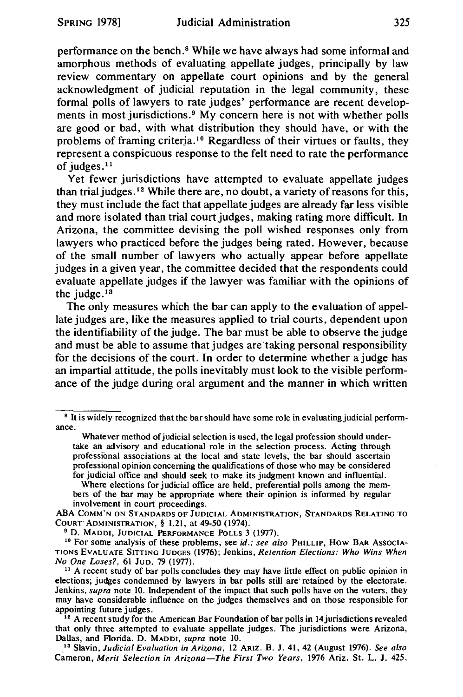performance on the bench. 8 While we have always had some informal and amorphous methods of evaluating appellate judges, principally by law review commentary on appellate court opinions and by the general acknowledgment of judicial reputation in the legal community, these formal polls of lawyers to rate judges' performance are recent developments in most jurisdictions.<sup>9</sup> My concern here is not with whether polls are good or bad, with what distribution they should have, or with the problems of framing criteria.<sup>10</sup> Regardless of their virtues or faults, they represent a conspicuous response to the felt need to rate the performance of judges.<sup>11</sup>

Yet fewer jurisdictions have attempted to evaluate appellate judges than trial judges.<sup>12</sup> While there are, no doubt, a variety of reasons for this, they must include the fact that appellate judges are already far less visible and more isolated than trial court judges, making rating more difficult. In Arizona, the committee devising the poll wished responses only from lawyers who practiced before the judges being rated. However, because of the small number of lawyers who actually appear before appellate judges in a given year, the committee decided that the respondents could evaluate appellate judges if the lawyer was familiar with the opinions of the judge.<sup>13</sup>

The only measures which the bar can apply to the evaluation of appellate judges are, like the measures applied to trial courts, dependent upon the identifiability of the judge. The bar must be able to observe the judge and must be able to assume that judges are'taking personal responsibility for the decisions of the court. In order to determine whether a judge has an impartial attitude, the polls inevitably must look to the visible performance of the judge during oral argument and the manner in which written

Where elections for judicial office are held, preferential polls among the members of the bar may be appropriate where their opinion is informed by regular involvement in court proceedings.

ABA COMM'N ON STANDARDS OF JUDICIAL ADMINISTRATION, STANDARDS RELATING TO<br>COURT`ADMINISTRATION, § 1.21, at 49-50 (1974).

<sup>9</sup> D. MADDI, JUDICIAL PERFORMANCE POLLS 3 (1977).

<sup>10</sup> For some analysis of these problems, see *id.; see also* PHILLIP, How BAR Associa-TIONS EVALUATE SITTING JUDGES (1976); Jenkins, *Retention Elections: Who Wins When* 

<sup>11</sup> A recent study of bar polls concludes they may have little effect on public opinion in elections; judges condemned by lawyers in bar polls still are· retained by the electorate. Jenkins, *supra* note 10. Independent of the impact that such polls have on the voters, they may have considerable influence on the judges themselves and on those responsible for appointing future judges.

 $\frac{12}{12}$  A recent study for the American Bar Foundation of bar polls in 14 jurisdictions revealed that only three attempted to evaluate appellate judges. The jurisdictions were Arizona, Dallas, and Florida. D. MADDI, *supra* note 10.

\_ 13 Slavin, *Judicial Evaluation in Arizona,* 12 ARIZ. B. J. 41, 42 (August 1976). *See also*  Cameron, *Merit Selection in Arizona-The First Two Years,* 1976 Ariz. St. L. J. 425.

<sup>8</sup> It is widely recognized that the bar should have some role in evaluating judicial performance.

Whatever method of judicial selection is used, the legal profession should undertake an advisory and educational role in the selection process. Acting through professional associations at the local and state levels, the bar should ascertain professional opinion concerning the qualifications of those who may be considered for judicial office and should seek to make its judgment known and influential.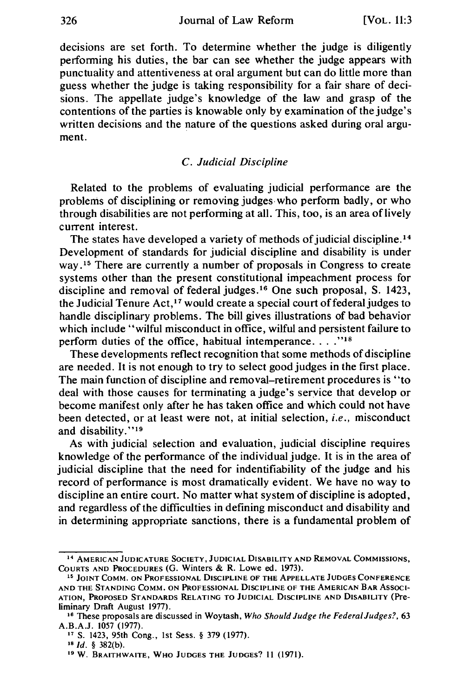decisions are set forth. To determine whether the judge is diligently performing his duties, the bar can see whether the judge appears with punctuality and attentiveness at oral argument but can do little more than guess whether the judge is taking responsibility for a fair share of decisions. The appellate judge's knowledge of the law and grasp of the contentions of the parties is knowable only by examination of the judge's written decisions and the nature of the questions asked during oral argument.

#### C. *Judicial Discipline*

Related to the problems of evaluating judicial performance are the problems of disciplining or removing judges, who perform badly, or who through disabilities are not performing at all. This, too, is an area oflively current interest.

The states have developed a variety of methods of judicial discipline.<sup>14</sup> Development of standards for judicial discipline and disability is under way.<sup>15</sup> There are currently a number of proposals in Congress to create systems other than the present constitutional impeachment process for discipline and removal of federal judges.<sup>16</sup> One such proposal, S. 1423, the Judicial Tenure Act,<sup>17</sup> would create a special court of federal judges to handle disciplinary problems. The bill gives illustrations of bad behavior which include "wilful misconduct in office, wilful and persistent failure to perform duties of the office, habitual intemperance...."<sup>18</sup>

These developments reflect recognition that some methods of discipline are needed. It is not enough to try to select good judges in the first place. The main function of discipline and removal-retirement procedures is ''to deal with those causes for terminating a judge's ser\_vice that develop or become manifest only after he has taken office and which could not have been detected, or at least were not, at initial selection, *i.e.,* misconduct and disability."<sup>19</sup>

As with judicial selection and evaluation, judicial discipline requires knowledge of the performance of the individual judge. It is in the area of judicial discipline that the need for indentifiability of the judge and his record of performance is most dramatically evident. We have no way to discipline an entire court. No matter what system of discipline is adopted, and regardless of the difficulties in defining misconduct and disability and in determining appropriate sanctions, there is a fundamental problem of

<sup>&</sup>lt;sup>14</sup> AMERICAN JUDICATURE SOCIETY, JUDICIAL DISABILITY AND REMOVAL COMMISSIONS, COURTS AND PROCEDURES (G. Winters & R. Lowe ed. 1973).

<sup>&</sup>lt;sup>15</sup> JOINT COMM. ON PROFESSIONAL DISCIPLINE OF THE APPELLATE JUDGES CONFERENCE AND THE STANDING COMM. ON PROFESSIONAL DISCIPLINE OF THE AMERICAN BAR Assoc1- ATION, PROPOSED STANDARDS RELATING TO JUDICIAL DISCIPLINE AND DISABILITY (Pre-

liminary Draft August 1977).<br><sup>16</sup> These proposals are discussed in Woytash, *Who Should Judge the Federal Judges?*, 63<br>A.B.A.J. 1057 (1977).

<sup>&</sup>lt;sup>17</sup> S. 1423, 95th Cong., 1st Sess. § 379 (1977).

<sup>18</sup>*Id.* § 382(b).

<sup>19</sup> W. BRAITHWAITE, WHO JUDGES THE JUDGES? II (1971).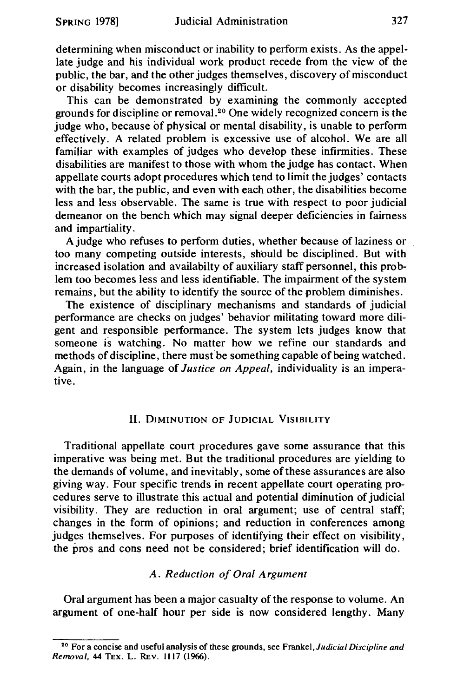determining when misconduct or inability to perform exists. As the appellate judge and his individual work product recede from the view of the public, the bar, and the other judges themselves, discovery of misconduct or disability becomes increasingly difficult.

This can be demonstrated by examining the commonly accepted grounds for discipline or removal. 20 One widely recognized concern is the judge who, because of physical or mental disability, is unable to perform effectively. A related problem is excessive use of alcohol. We are all familiar with examples of judges who develop these infirmities. These disabilities are manifest to those with whom the judge has contact. When appellate courts adopt procedures which tend to limit the judges' contacts with the bar, the public, and even with each other, the disabilities become less and less observable. The same is true with respect to poor judicial demeanor on the bench which may signal deeper deficiencies in fairness and impartiality.

A judge who refuses to perform duties, whether because of laziness or too many competing outside interests, should be disciplined. But with increased isolation and availabilty of auxiliary staff personnel, this problem too becomes less and less identifiable. The impairment of the system remains, but the ability to identify the source of the problem diminishes.

The existence of disciplinary mechanisms and standards of judicial performance are checks on judges' behavior militating toward more diligent and responsible performance. The system lets judges know that someone is watching. No matter how we refine our standards and methods of discipline, there must be something capable of being watched. Again, in the language of *Justice on Appeal,* individuality is an imperative.

#### II. DIMINUTION OF JUDICIAL VISIBILITY

Traditional appellate court procedures gave some assurance that this imperative was being met. But the traditional procedures are yielding to the demands of volume, and inevitably, some of these assurances are also giving way. Four specific trends in recent appellate court operating procedures serve to illustrate this actual and potential diminution of judicial visibility. They are reduction in oral argument; use of central staff; changes in the form of opinions; and reduction in conferences among judges themselves. For purposes of identifying their effect on visibility, the pros and cons need not be considered; brief identification will do.

### *A. Reduction of Oral Argument*

Oral argument has been a major casualty of the response to volume. An argument of one-half hour per side is now considered lengthy. Many

<sup>2</sup>° For a concise and useful analysis of these grounds, see *Frankel,Judicial Discipline and Removal,* 44 TEX. L. REv. 1117 (1966).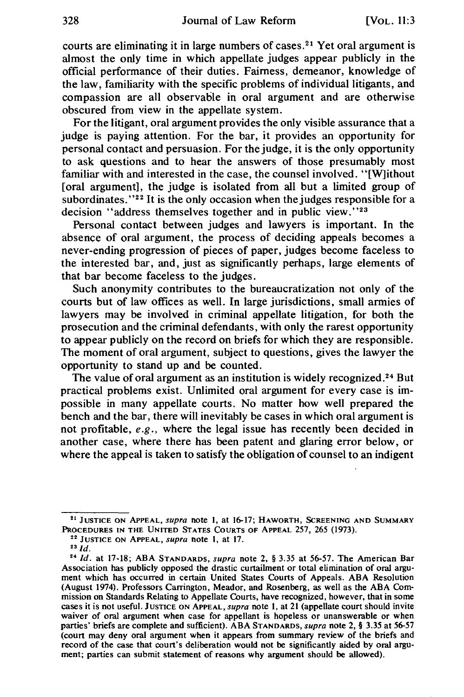courts are eliminating it in large numbers of cases.<sup>21</sup> Yet oral argument is almost the only time in which appellate judges appear publicly in the official performance of their duties. Fairness, demeanor, knowledge of the law, familiarity with the specific problems of individual litigants, and compassion are all observaole in oral argument and are otherwise obscured from view in the appellate system.

For the litigant, oral argument provides the only visible assurance that a judge is paying attention. For the bar, it provides an opportunity for personal contact and persuasion. For the judge, it is the only opportunity to ask questions and to hear the answers of those presumably most familiar with and interested in the case, the counsel involved. "[W]ithout [oral argument], the judge is isolated from all but a limited group of subordinates." $2<sup>2</sup>$  It is the only occasion when the judges responsible for a decision "address themselves together and in public view."<sup>23</sup>

Personal contact between judges and lawyers is important. In the absence of oral argument, the process of deciding appeals becomes a never-ending progression of pieces of paper, judges become faceless to the interested bar, and, just as significantly perhaps, large elements of that bar become faceless to the judges.

Such anonymity contributes to the bureaucratization not only of the courts but of law offices as well. In large jurisdictions, small armies of lawyers may be involved in criminal appellate litigation, for both the prosecution and the criminal defendants, with only the rarest opportunity to appear publicly on the record on briefs for which they are responsible. The moment of oral argument, subject to questions, gives the lawyer the opportunity to stand up and be counted.

The value of oral argument as an institution is widely recognized.<sup>24</sup> But practical problems exist. Unlimited oral argument for every case is impossible in many appellate courts. No matter how well prepared the bench and the bar, there will inevitably be cases in which oral argument is not profitable, *e.g.,* where the legal issue has recently been decided in another case, where there has been patent and glaring error below, or where the appeal is taken to satisfy the obligation of counsel to an indigent

<sup>&</sup>lt;sup>21</sup> JUSTICE ON APPEAL, supra note 1, at 16-17; HAWORTH, SCREENING AND SUMMARY PROCEDURES IN THE UNITED STATES COURTS OF APPEAL 257, 265 (1973).<br><sup>22</sup> JUSTICE ON APPEAL, *supra* note 1, at 17.<br><sup>23 Id</sup>.

<sup>24</sup>*Id.* at 17-18; ABA STANDARDS, supra note 2, § 3.35 at 56-57. The American Bar Association has publicly opposed the drastic curtailment or total elimination of oral argument which has occurred in certain United States Courts of Appeals. ABA Resolution (August 1974). Professors Carrington, Meador, and Rosenberg, as well as the ABA Commission on Standards Relating to Appellate Courts, have recognized, however, that in some cases it is not useful. JUSTICE ON APPEAL, supra note 1, at 21 (appellate court should invite waiver of oral argument when case for appellant is hopeless or unanswerable or when parties' briefs are complete and sufficient). ABA STANDARDS, supra note 2, § 3.35 at 56-57 (court may deny oral argument when it appears from summary review of the briefs and record of the case that court's deliberation would not be significantly aided by oral argument; parties can submit statement of reasons why argument should be allowed).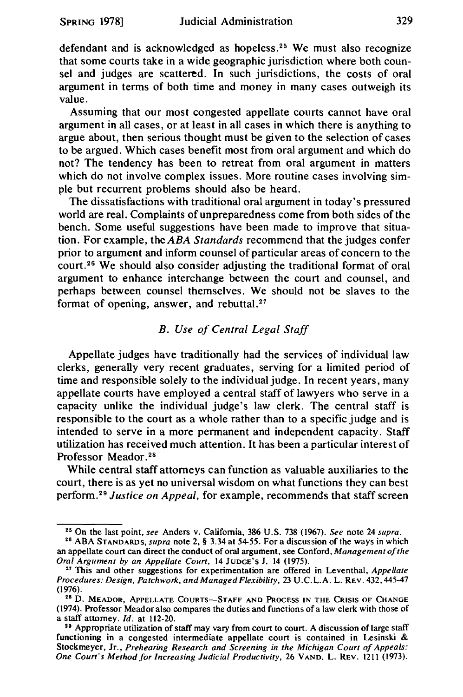defendant and is acknowledged as hopeless.<sup>25</sup> We must also recognize that some courts take in a wide geographic jurisdiction where both counsel and judges are scattered. In such jurisdictions, the costs of oral argument in terms of both time and money in many cases outweigh its value.

Assuming that our most congested appellate courts cannot have oral argument in all cases, or at least in all cases in which there is anything to argue about, then serious thought must be given to the selection of cases to be argued. Which cases benefit most from oral argument and which do not? The tendency has been to retreat from oral argument in matters which do not involve complex issues. More routine cases involving simple but recurrent problems should also be heard.

The dissatisfactions with traditional oral argument in today's pressured world are real. Complaints of unpreparedness come from both sides of the bench. Some useful suggestions have been made to improve that situation. For example, the *ABA Standards* recommend that the judges confer prior to argument and inform counsel of particular areas of concern to the court.26 We should also consider adjusting the traditional format of oral argument to enhance interchange between the court and counsel, and perhaps between counsel themselves. We should not be slaves to the format of opening, answer, and rebuttal.<sup>27</sup>

## *B. Use of Central Legal Staff*

Appellate judges have traditionally had the services of individual law clerks, generally very recent graduates, serving for a limited period of time and responsible solely to the individual judge. In recent years, many appellate courts have employed a central staff of lawyers who serve in a capacity unlike the individual judge's law clerk. The central staff is responsible to the court as a whole rather than to a specific judge and is intended to serve in a more permanent and independent capacity. Staff utilization has received much attention. It has been a particular interest of Professor Meador. 28

While central staff attorneys can function as valuable auxiliaries to the court, there is as yet no universal wisdom on what functions they can best perform. <sup>29</sup>*Justice on Appeal,* for example, recommends that staff screen

<sup>2</sup> • On the last point, *see* Anders v. California, 386 U.S. 738 (1967). *See* note 24 *supra.* 28 ABA STANDARDS, *supra* note 2, § 3.34 at 54-55. For a discussion of the ways in which

an appellate court can direct the conduct of oral argument, see Conford, *Management of the* 

<sup>&</sup>lt;sup>27</sup> This and other suggestions for experimentation are offered in Leventhal, *Appellate Procedures: Design, Patchwork, and Managed Flexibility,* 23 U.C.L.A. L. REV. 432, 445-47

<sup>&</sup>lt;sup>28</sup> D. MEADOR, APPELLATE COURTS-STAFF AND PROCESS IN THE CRISIS OF CHANGE (1974). Professor Meador also compares the duties and functions of a law clerk with those of a staff attomey.  $Id.$  at 112-20.

<sup>&</sup>lt;sup>29</sup> Appropriate utilization of staff may vary from court to court. A discussion of large staff functioning in a congested intermediate appellate court is contained in Lesinski & Stockmeyer, Jr., *Prehearing Research and Screening in the Michigan Court of Appeals: One Court's Method for Increasing Judicial Productivity,* 26 VAND. L. REV. 1211 (1973).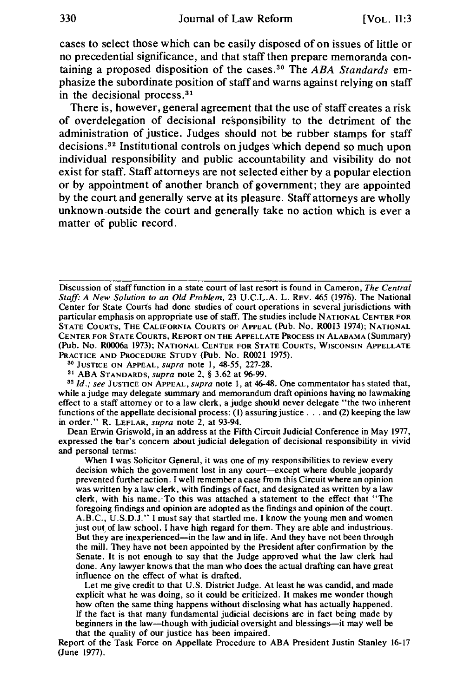cases to select those which can be easily disposed of on issues of little or no precedential significance, and that staff then prepare memoranda containing a proposed disposition of the cases. 30 The *ABA Standards* emphasize the subordinate position of staff and warns against relying on staff in the decisional process. <sup>31</sup>

There is, however, general agreement that the use of staff creates a risk of overdelegation of decisional responsibility to the detriment of the administration of justice. Judges should not be rubber stamps for staff decisions.<sup>32</sup> Institutional controls on judges which depend so much upon individual responsibility and public accountability and visibility do not exist for staff. Staff attorneys are not selected either by a popular election or by appointment of another branch of government; they are appointed by the court and generally serve at its pleasure. Staff attorneys are wholly unknown .outside the court and generally take no action which is ever a matter of public record.

Discussion of staff function in a state court of last resort is found in Cameron, *The Central Staff: A New Solution to an Old Problem,* 23 U.C.L.A. L. REV. 465 (1976). The National Center for State Courts had done studies of court operations in several jurisdictions with particular emphasis on appropriate use of staff. The studies include NATIONAL CENTER FOR STATE CoURTS, THE CALIFORNIA COURTS OF APPEAL (Pub. No. R0013 1974); NATIONAL CENTER FOR STATE COURTS, REPORT ON THE APPELLATE PROCESS IN ALABAMA (Summary) (Pub. No. R0006a 1973); NATIONAL CENTER FOR STATE COURTS, WISCONSIN APPELLATE

<sup>30</sup> JUSTICE ON APPEAL, *supra* note 1, 48-55, 227-28.<br><sup>31</sup> ABA STANDARDS, *supra* note 2, § 3.62 at 96-99.<br><sup>32</sup> *Id.; see* JUSTICE ON APPEAL, *supra* note 1, at 46-48. One commentator has stated that, while a judge may delegate summary and memorandum draft opinions having no lawmaking effect to a staff attorney or to a law clerk, a judge should never delegate "the two inherent functions of the appellate decisional process: (1) assuring justice  $\ldots$  and (2) keeping the law in order." R. LEFLAR, *supra* note 2, at 93-94.

Dean Erwin Griswold, in an address at the Fifth Circuit Judicial Conference in May 1977, expressed the bar's concern about judicial delegation of decisional responsibility in vivid and personal terms:

When I was Solicitor General, it was one of my responsibilities to review every decision which the government lost in any court-except where double jeopardy prevented further action. I well remember a case from this Circuit where an opinion was written by a law clerk, with findings of fact, and designated as written by a law clerk, with his name. To this was attached a statement to the effect that "The foregoing findings and opinion are adopted as the findings and opinion of the court. A.B.C., U.S.D.J." I must say that startled me. I know the young men and women just out of law school. I have high regard for them. They are able and industrious. But they are inexperienced—in the law and in life. And they have not been through the mill. They have not been appointed by the President after confirmation by the Senate. It is not enough to say that the Judge approved what the law clerk had done. Any lawyer knows that the man who does the actual drafting can have great influence on the effect of what is drafted.

Let me give credit to that U.S. District Judge. At least he was candid, and made explicit what he was doing, so it could be criticized. It makes me wonder though how often the same thing happens without disclosing what has actually happened. If the fact is that many fundamental judicial decisions are in fact being made by beginners in the law-though with judicial oversight and blessings-it may well be that the quality of our justice has been impaired.

Report of the Task Force on Appellate Procedure to ABA President Justin Stanley 16-17 (June 1977).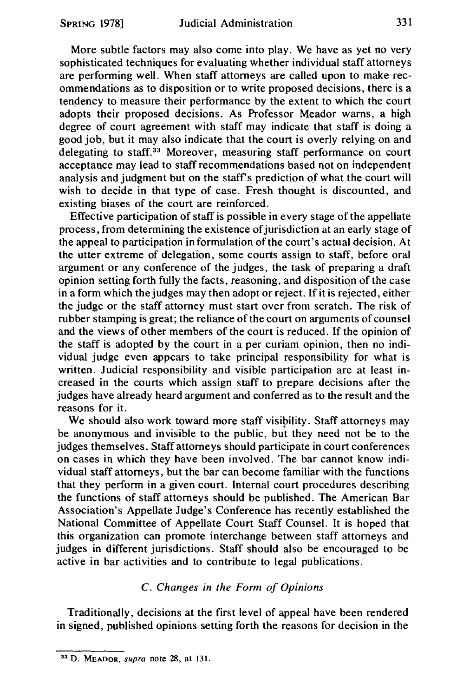More subtle factors may also come into play. We have as yet no very sophisticated techniques for evaluating whether individual staff attorneys are performing well. When staff attorneys are called upon to make recommendations as to disposition or to write proposed decisions, there is a tendency to measure their performance by the extent to which the court adopts their proposed decisions. As Professor Meador warns, a high degree of court agreement with staff may indicate that staff is doing a good job, but it may also indicate that the court is overly relying on and delegating to staff. 33 Moreover, measuring staff performance on court acceptance may lead to staff recommendations based not on independent analysis and judgment but on the staff's prediction of what the court will wish to decide in that type of case. Fresh thought is discounted, and existing biases of the court are reinforced.

Effective participation of staff is possible in every stage of the appellate process, from determining the existence of jurisdiction at an early stage of the appeal to participation in formulation of the court's actual decision. At the utter extreme of delegation, some courts assign to staff, before oral argument or any conference of the judges, the task of preparing a draft opinion setting forth fully the facts, reasoning, and disposition of the case in a form which the judges may then adopt or reject. If it is rejected, either the judge or the staff attorney must start over from scratch. The risk of rubber stamping is great; the reliance of the court on arguments of counsel and the views of other members of the court is reduced. If the opinion of the staff is adopted by the court in a per curiam opinion, then no individual judge even appears to take principal responsibility for what is written. Judicial responsibility and visible participation are at least increased in the courts which assign staff to p\_repare decisions after the judges have already heard argument and conferred as to the result and the reasons for it.

We should also work toward more staff visibility. Staff attorneys may be anonymous and invisible to the public, but they need not be to the judges themselves. Staff attorneys should participate in court conferences on cases in which they have been involved. The bar cannot know individual staff attorneys, but the bar can become familiar with the functions that they perform in a given court. Internal court procedures describing the functions of staff attorneys should be published. The American Bar Association's Appellate Judge's Conference has recently established the National Committee of Appellate Court Staff Counsel. It is hoped that this organization can promote interchange between staff attorneys and judges in different jurisdictions. Staff should also be encouraged to be active in bar activities and to contribute to legal publications.

### C. *Changes in the Form of Opinions*

Traditionally, decisions at the first level of appeal have been rendered in signed, published opinions setting forth the reasons for decision in the

<sup>&</sup>lt;sup>33</sup> D. MEADOR, *supra* note 28, at 131.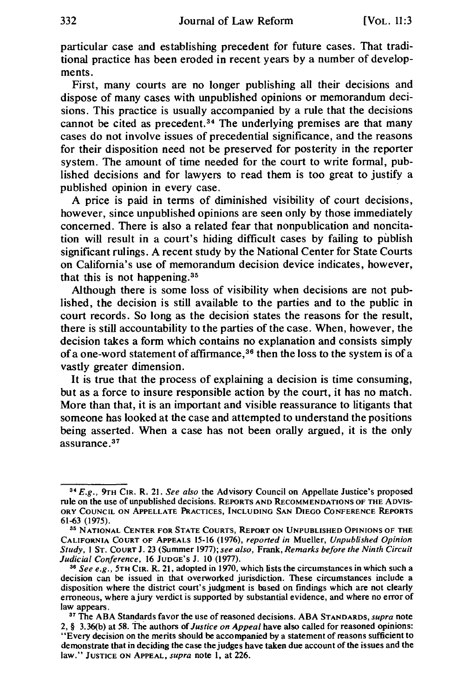particular case and establishing precedent for future cases. That traditional practice has been eroded in recent years by a number of developments.

First, many courts are no longer publishing all their decisions and dispose of many cases with unpublished opinions or memorandum decisions. This practice is usually accompanied by a rule that the decisions cannot be cited as precedent. 34 The underlying premises are that many cases do not involve issues of precedential significance, and the reasons for their disposition need not be preserved for posterity in the reporter system. The amount of time needed for the court to write formal, published decisions and for lawyers to read them is too great to justify a published opinion in every case.

A price is paid in terms of diminished visibility of court decisions, however, since unpublished opinions are seen only by those immediately concerned. There is also a related fear that nonpublication and noncitation will result in a court's hiding difficult cases by failing to publish significant rulings. A recent study by the National Center for State Courts on California's use of memorandum decision device indicates, however, that this is not happening. 35

Although there is some loss of visibility when decisions are not published, the decision is still available to the parties and to the public in court records. So long as the decision states the reasons for the result, there is still accountability to the parties of the case. When, however, the decision takes a form which contains no explanation and consists simply of a one-word statement of affirmance, 36 then the loss to the system is of a vastly greater dimension.

It is true that the process of explaining a decision is time consuming, but as a force to insure responsible action by the court, it has no match. More than that, it is an important and visible reassurance to litigants that someone has looked at the case and attempted to understand the positions being asserted. When a case has not been orally argued, it is the only assurance.<sup>37</sup>

<sup>34</sup>*E.g.,* 9rH CIR. R. 21. *See also* the Advisory Council on Appellate Justice's proposed rule on the use of unpublished decisions. REPORTS AND RECOMMENDATIONS OF THE ADVIS-ORY COUNCIL ON APPELLATE PRACTICES, INCLUDING SAN DIEGO CONFERENCE REPORTS 61-63 (1975).<br><sup>35</sup> National Center for State Courts, Report on Unpublished Opinions of the

CALIFORNIA COURT OF APPEALS 15-16 (1976), *reported in* Mueller, *Unpublished Opinion Study,* I ST. CouRT J. 23 (Summer 1977); *see also,* Frank, *Remarks before the Ninth Circuit* 

<sup>&</sup>lt;sup>36</sup> See e.g., 5TH CIR. R. 21, adopted in 1970, which lists the circumstances in which such a decision can be issued in that overworked jurisdiction. These circumstances include a disposition where the district court's judgment is based on findings which are not clearly erroneous, where a jury verdict is supported by substantial evidence, and where no error of law appears. 37 The ABA Standards favor the use of reasoned decisions. ABA STANDARDS, *supra* note

<sup>2, § 3.36(</sup>b) at 58. The authors of *Justice on Appeal* have also called for reasoned opinions: "Every decision on the merits should be accompanied by a statement of reasons sufficient to demonstrate that in deciding the case the judges have taken due account of the issues and the law." JUSTICE ON APPEAL, *supra* note l, at 226.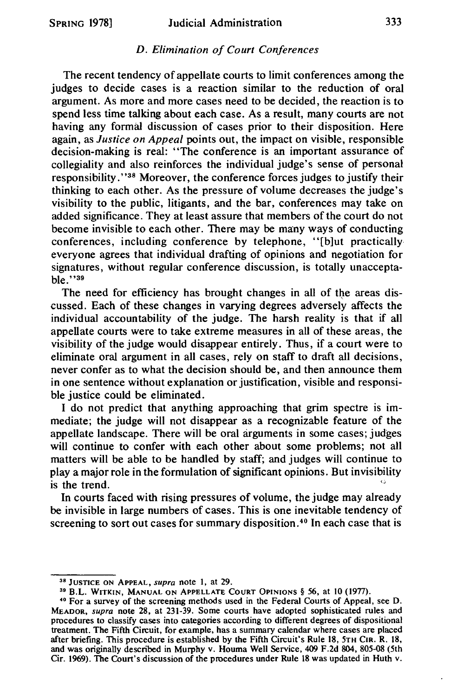#### *D. Elimination of Court Conferences*

The recent tendency of appellate courts to limit conferences among the judges to decide cases is a reaction similar to the reduction of oral argument. As more and more cases need to be decided, the reaction is to spend less time talking about each case. As a result, many courts are not having any formal discussion of cases prior to their disposition. Here again, as *Justice on Appeal* points out, the impact on visible, responsible decision-making is real: "The conference is an important assurance of collegiality and also reinforces the individual judge's sense of personal responsibility. " 38 Moreover, the conference forces judges to justify their thinking to each other. As the pressure of volume decreases the judge's visibility to the public, litigants, and the bar, conferences may take on added significance. They at least assure that members of the court do not become invisible to each other. There may be many ways of conducting conferences, including conference by telephone, "[b]ut practically everyone agrees that individual drafting of opinions and negotiation for signatures, without regular conference discussion, is totally unacceptable."<sup>39</sup>

The need for efficiency has brought changes in all of the areas discussed. Each of these changes in varying degrees adversely affects the individual accountability of the judge. The harsh reality is that if all appellate courts were to take extreme measures in all of these areas, the visibility of the judge would disappear entirely. Thus, if a court were to eliminate oral argument in all cases, rely on staff to draft all decisions, never confer as to what the decision should be, and then announce them in one sentence without explanation or justification, visible and responsible justice could be eliminated.

I do not predict that anything approaching that grim spectre is immediate; the judge will not disappear as a recognizable feature of the appellate landscape. There will be oral arguments in some cases; judges will continue to confer with each other about some problems; not all matters will be able to be handled by staff; and judges will continue to play a major role in the formulation of significant opinions. But invisibility is the trend.

In courts faced with rising pressures of volume, the judge may already be invisible in large numbers of cases. This is one inevitable tendency of screening to sort out cases for summary disposition.<sup>40</sup> In each case that is

<sup>&</sup>lt;sup>38</sup> JUSTICE ON APPEAL, *supra* note 1, at 29.<br><sup>39</sup> B.L. WITKIN, MANUAL ON APPELLATE COURT OPINIONS § 56, at 10 (1977).

<sup>•°</sup> For a survey of the screening methods used in the Federal Courts of Appeal, see D. MEADOR, supra note 28, at 231-39. Some courts have adopted sophisticated rules and procedures to classify cases into categories according to different degrees of dispositional treatment. The Fifth Circuit, for example, has a summary calendar where cases are placed after briefing. This procedure is established by the Fifth Circuit's Rule 18, 5TH CIR. R. 18, and was originally described in Murphy v. Houma Well Service, 409 F.2d 804, 805-08 (5th Cir. 1969). The Court's discussion of the procedures under Rule 18 was updated in Huth v.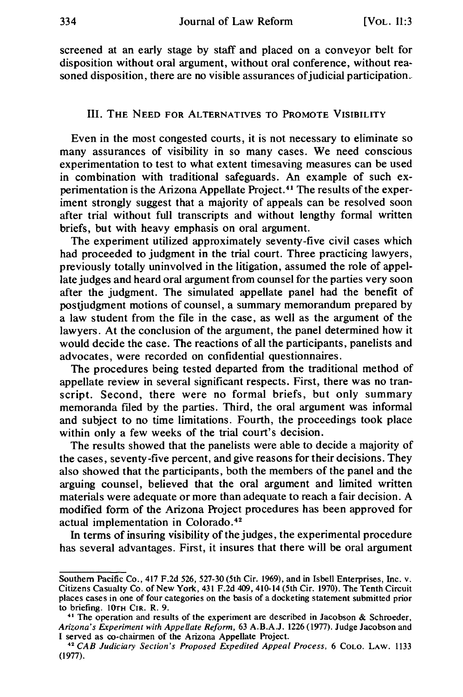screened at an early stage by staff and placed on a conveyor belt for disposition without oral argument, without oral conference, without reasoned disposition, there are no visible assurances of judicial participation.

#### III. THE NEED FOR ALTERNATIVES TO PROMOTE VISIBILITY

Even in the most congested courts, it is not necessary to eliminate so many assurances of visibility in so many cases. We need conscious experimentation to test to what extent timesaving measures can be used in combination with traditional safeguards. An example of such experimentation is the Arizona Appellate Project. 41 The results of the experiment strongly suggest that a majority of appeals can be resolved soon after trial without full transcripts and without lengthy formal written briefs, but with heavy emphasis on oral argument.

The experiment utilized approximately seventy-five civil cases which had proceeded to judgment in the trial court. Three practicing lawyers, previously totally uninvolved in the litigation, assumed the role of appellate judges and heard oral argument from counsel for the parties very soon after the judgment. The simulated appellate panel had the benefit of postjudgment motions of counsel, a summary memorandum prepared by a law student from the file in the case, as well as the argument of the lawyers. At the conclusion of the argument, the panel determined how it would decide the case. The reactions of all the participants, panelists and advocates, were recorded on confidential questionnaires.

The procedures being tested departed from the traditional method of appellate review in several significant respects. First, there was no transcript. Second, there were no formal briefs, but only summary memoranda filed by the parties. Third, the oral argument was informal and subject to no time limitations. Fourth, the proceedings took place within only a few weeks of the trial court's decision.

The results showed that the panelists were able to decide a majority of the cases, seventy-five percent, and give reasons for their decisions. They also showed that the participants, both the members of the panel and the arguing counsel, believed that the oral argument and limited written materials were adequate or more than adequate to reach a fair decision. A modified form of the Arizona Project procedures has been approved for actual implementation in Colorado. <sup>42</sup>

In terms of insuring visibility of the judges, the experimental procedure has several advantages. First, it insures that there will be oral argument

Southern Pacific Co., 417 F.2d 526, 527-30 (5th Cir. 1969), and in Isbell Enterprises, Inc. v. Citizens Casualty Co. of New York, 431 F.2d 409, 410-14 (5th Cir. 1970). The Tenth Circuit places cases in one of four categories on the basis of a docketing statement submitted prior to briefing. lOTH CIR. R. 9.

 $41$  The operation and results of the experiment are described in Jacobson & Schroeder, *Arizona's Experiment with Appellate Reform,* 63 A.B.A.J. 1226 (1977). Judge Jacobson and

<sup>&</sup>lt;sup>42</sup> CAB Judiciary Section's Proposed Expedited Appeal Process, 6 COLO. LAW. 1133 (1977).